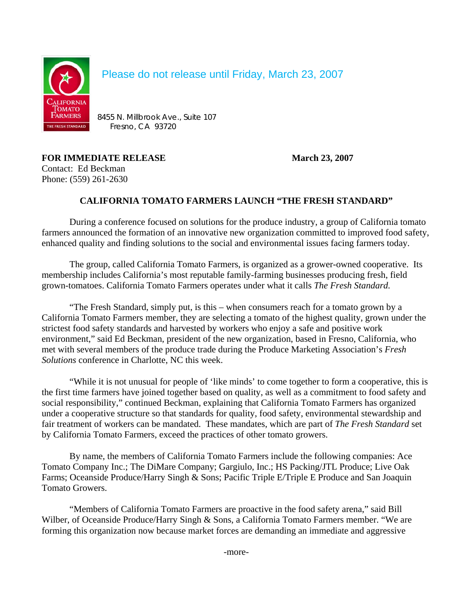

Please do not release until Friday, March 23, 2007

**FARMERS** 8455 N. Millbrook Ave., Suite 107<br>EFRESH STANDARD FRASHOL C.A. 93720 Fresno, CA 93720

**FOR IMMEDIATE RELEASE March 23, 2007** Contact: Ed Beckman Phone: (559) 261-2630

## **CALIFORNIA TOMATO FARMERS LAUNCH "THE FRESH STANDARD"**

During a conference focused on solutions for the produce industry, a group of California tomato farmers announced the formation of an innovative new organization committed to improved food safety, enhanced quality and finding solutions to the social and environmental issues facing farmers today.

The group, called California Tomato Farmers, is organized as a grower-owned cooperative. Its membership includes California's most reputable family-farming businesses producing fresh, field grown-tomatoes. California Tomato Farmers operates under what it calls *The Fresh Standard.*

"The Fresh Standard, simply put, is this – when consumers reach for a tomato grown by a California Tomato Farmers member, they are selecting a tomato of the highest quality, grown under the strictest food safety standards and harvested by workers who enjoy a safe and positive work environment," said Ed Beckman, president of the new organization, based in Fresno, California, who met with several members of the produce trade during the Produce Marketing Association's *Fresh Solutions* conference in Charlotte, NC this week.

"While it is not unusual for people of 'like minds' to come together to form a cooperative, this is the first time farmers have joined together based on quality, as well as a commitment to food safety and social responsibility," continued Beckman, explaining that California Tomato Farmers has organized under a cooperative structure so that standards for quality, food safety, environmental stewardship and fair treatment of workers can be mandated. These mandates, which are part of *The Fresh Standard* set by California Tomato Farmers, exceed the practices of other tomato growers.

By name, the members of California Tomato Farmers include the following companies: Ace Tomato Company Inc.; The DiMare Company; Gargiulo, Inc.; HS Packing/JTL Produce; Live Oak Farms; Oceanside Produce/Harry Singh & Sons; Pacific Triple E/Triple E Produce and San Joaquin Tomato Growers.

"Members of California Tomato Farmers are proactive in the food safety arena," said Bill Wilber, of Oceanside Produce/Harry Singh & Sons, a California Tomato Farmers member. "We are forming this organization now because market forces are demanding an immediate and aggressive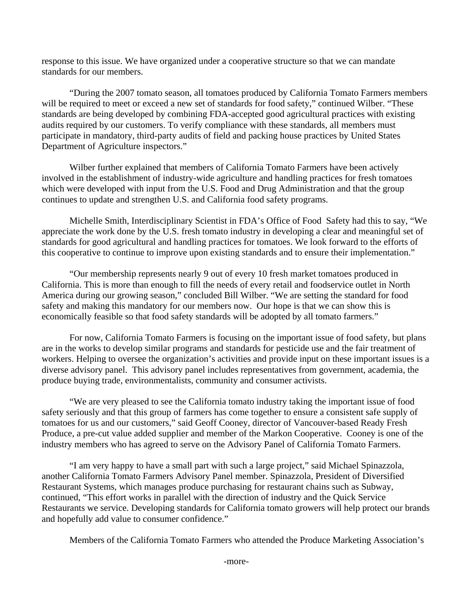response to this issue. We have organized under a cooperative structure so that we can mandate standards for our members.

"During the 2007 tomato season, all tomatoes produced by California Tomato Farmers members will be required to meet or exceed a new set of standards for food safety," continued Wilber. "These standards are being developed by combining FDA-accepted good agricultural practices with existing audits required by our customers. To verify compliance with these standards, all members must participate in mandatory, third-party audits of field and packing house practices by United States Department of Agriculture inspectors."

Wilber further explained that members of California Tomato Farmers have been actively involved in the establishment of industry-wide agriculture and handling practices for fresh tomatoes which were developed with input from the U.S. Food and Drug Administration and that the group continues to update and strengthen U.S. and California food safety programs.

Michelle Smith, Interdisciplinary Scientist in FDA's Office of Food Safety had this to say, "We appreciate the work done by the U.S. fresh tomato industry in developing a clear and meaningful set of standards for good agricultural and handling practices for tomatoes. We look forward to the efforts of this cooperative to continue to improve upon existing standards and to ensure their implementation."

"Our membership represents nearly 9 out of every 10 fresh market tomatoes produced in California. This is more than enough to fill the needs of every retail and foodservice outlet in North America during our growing season," concluded Bill Wilber. "We are setting the standard for food safety and making this mandatory for our members now. Our hope is that we can show this is economically feasible so that food safety standards will be adopted by all tomato farmers."

For now, California Tomato Farmers is focusing on the important issue of food safety, but plans are in the works to develop similar programs and standards for pesticide use and the fair treatment of workers. Helping to oversee the organization's activities and provide input on these important issues is a diverse advisory panel. This advisory panel includes representatives from government, academia, the produce buying trade, environmentalists, community and consumer activists.

"We are very pleased to see the California tomato industry taking the important issue of food safety seriously and that this group of farmers has come together to ensure a consistent safe supply of tomatoes for us and our customers," said Geoff Cooney, director of Vancouver-based Ready Fresh Produce, a pre-cut value added supplier and member of the Markon Cooperative. Cooney is one of the industry members who has agreed to serve on the Advisory Panel of California Tomato Farmers.

"I am very happy to have a small part with such a large project," said Michael Spinazzola, another California Tomato Farmers Advisory Panel member. Spinazzola, President of Diversified Restaurant Systems, which manages produce purchasing for restaurant chains such as Subway, continued, "This effort works in parallel with the direction of industry and the Quick Service Restaurants we service. Developing standards for California tomato growers will help protect our brands and hopefully add value to consumer confidence."

Members of the California Tomato Farmers who attended the Produce Marketing Association's